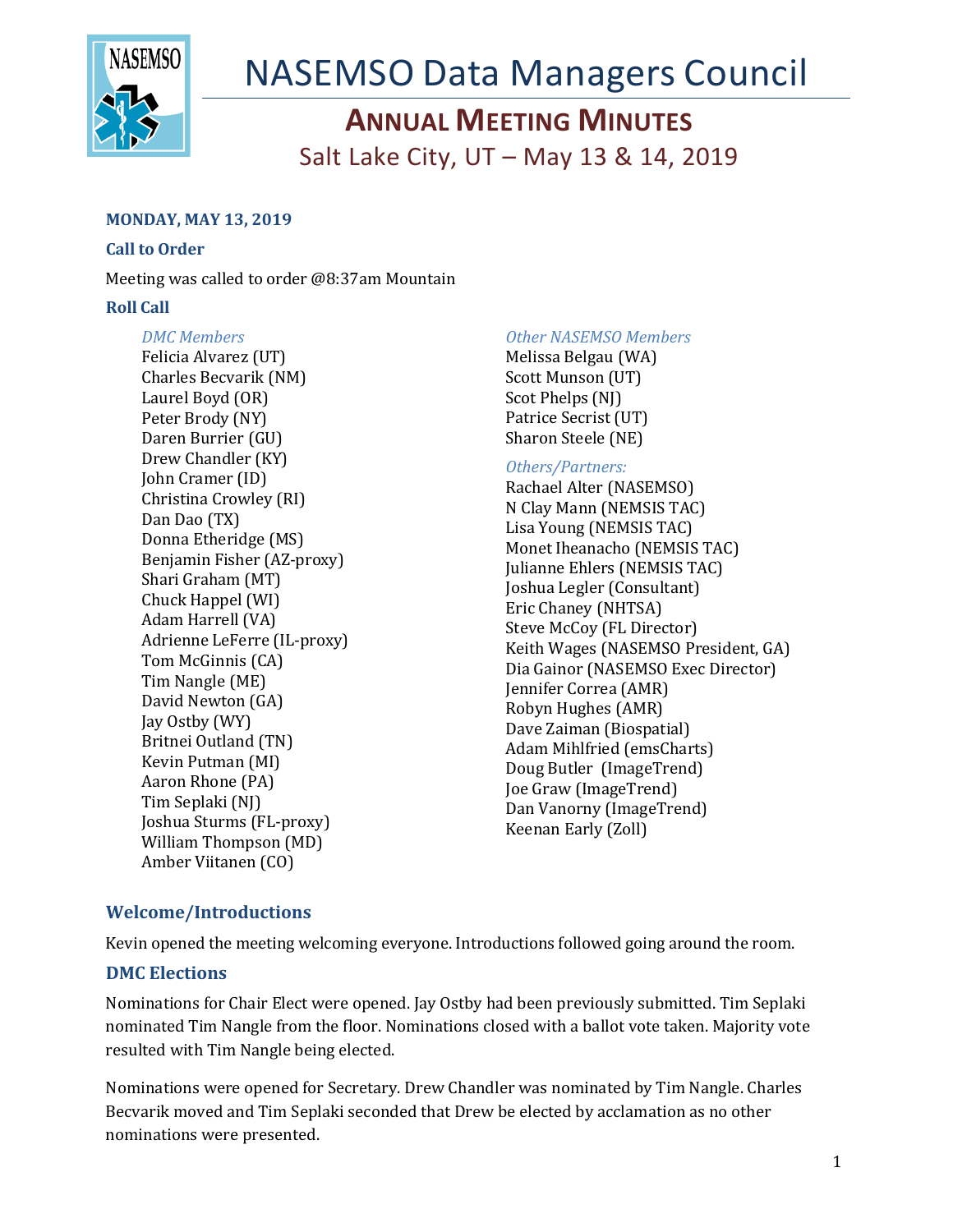

# NASEMSO Data Managers Council

## **ANNUAL MEETING MINUTES**

Salt Lake City, UT – May 13 & 14, 2019

## **MONDAY, MAY 13, 2019**

## **Call to Order**

Meeting was called to order @8:37am Mountain

## **Roll Call**

## *DMC Members*

Felicia Alvarez (UT) Charles Becvarik (NM) Laurel Boyd (OR) Peter Brody (NY) Daren Burrier (GU) Drew Chandler (KY) John Cramer (ID) Christina Crowley (RI) Dan Dao (TX) Donna Etheridge (MS) Benjamin Fisher (AZ-proxy) Shari Graham (MT) Chuck Happel (WI) Adam Harrell (VA) Adrienne LeFerre (IL-proxy) Tom McGinnis (CA) Tim Nangle (ME) David Newton (GA) Jay Ostby (WY) Britnei Outland (TN) Kevin Putman (MI) Aaron Rhone (PA) Tim Seplaki (NJ) Joshua Sturms (FL-proxy) William Thompson (MD) Amber Viitanen (CO)

## *Other NASEMSO Members*

Melissa Belgau (WA) Scott Munson (UT) Scot Phelps (NJ) Patrice Secrist (UT) Sharon Steele (NE)

## *Others/Partners:*

Rachael Alter (NASEMSO) N Clay Mann (NEMSIS TAC) Lisa Young (NEMSIS TAC) Monet Iheanacho (NEMSIS TAC) Julianne Ehlers (NEMSIS TAC) Joshua Legler (Consultant) Eric Chaney (NHTSA) Steve McCoy (FL Director) Keith Wages (NASEMSO President, GA) Dia Gainor (NASEMSO Exec Director) Jennifer Correa (AMR) Robyn Hughes (AMR) Dave Zaiman (Biospatial) Adam Mihlfried (emsCharts) Doug Butler (ImageTrend) Joe Graw (ImageTrend) Dan Vanorny (ImageTrend) Keenan Early (Zoll)

## **Welcome/Introductions**

Kevin opened the meeting welcoming everyone. Introductions followed going around the room.

## **DMC Elections**

Nominations for Chair Elect were opened. Jay Ostby had been previously submitted. Tim Seplaki nominated Tim Nangle from the floor. Nominations closed with a ballot vote taken. Majority vote resulted with Tim Nangle being elected.

Nominations were opened for Secretary. Drew Chandler was nominated by Tim Nangle. Charles Becvarik moved and Tim Seplaki seconded that Drew be elected by acclamation as no other nominations were presented.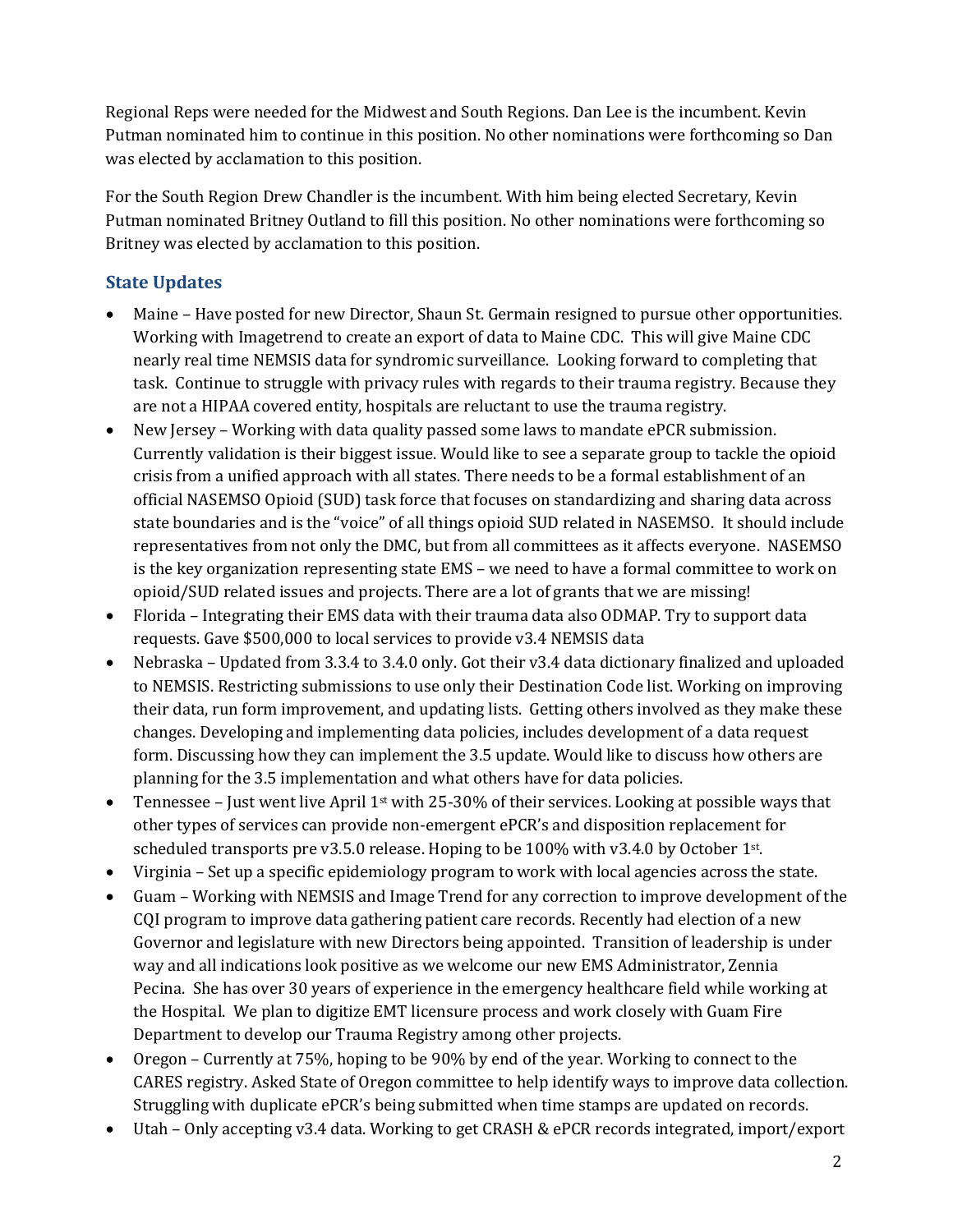Regional Reps were needed for the Midwest and South Regions. Dan Lee is the incumbent. Kevin Putman nominated him to continue in this position. No other nominations were forthcoming so Dan was elected by acclamation to this position.

For the South Region Drew Chandler is the incumbent. With him being elected Secretary, Kevin Putman nominated Britney Outland to fill this position. No other nominations were forthcoming so Britney was elected by acclamation to this position.

## **State Updates**

- Maine Have posted for new Director, Shaun St. Germain resigned to pursue other opportunities. Working with Imagetrend to create an export of data to Maine CDC. This will give Maine CDC nearly real time NEMSIS data for syndromic surveillance. Looking forward to completing that task. Continue to struggle with privacy rules with regards to their trauma registry. Because they are not a HIPAA covered entity, hospitals are reluctant to use the trauma registry.
- New Jersey Working with data quality passed some laws to mandate ePCR submission. Currently validation is their biggest issue. Would like to see a separate group to tackle the opioid crisis from a unified approach with all states. There needs to be a formal establishment of an official NASEMSO Opioid (SUD) task force that focuses on standardizing and sharing data across state boundaries and is the "voice" of all things opioid SUD related in NASEMSO. It should include representatives from not only the DMC, but from all committees as it affects everyone. NASEMSO is the key organization representing state EMS – we need to have a formal committee to work on opioid/SUD related issues and projects. There are a lot of grants that we are missing!
- Florida Integrating their EMS data with their trauma data also ODMAP. Try to support data requests. Gave \$500,000 to local services to provide v3.4 NEMSIS data
- Nebraska Updated from 3.3.4 to 3.4.0 only. Got their v3.4 data dictionary finalized and uploaded to NEMSIS. Restricting submissions to use only their Destination Code list. Working on improving their data, run form improvement, and updating lists. Getting others involved as they make these changes. Developing and implementing data policies, includes development of a data request form. Discussing how they can implement the 3.5 update. Would like to discuss how others are planning for the 3.5 implementation and what others have for data policies.
- Tennessee Just went live April 1<sup>st</sup> with 25-30% of their services. Looking at possible ways that other types of services can provide non-emergent ePCR's and disposition replacement for scheduled transports pre  $v3.5.0$  release. Hoping to be 100% with  $v3.4.0$  by October 1st.
- Virginia Set up a specific epidemiology program to work with local agencies across the state.
- Guam Working with NEMSIS and Image Trend for any correction to improve development of the CQI program to improve data gathering patient care records. Recently had election of a new Governor and legislature with new Directors being appointed. Transition of leadership is under way and all indications look positive as we welcome our new EMS Administrator, Zennia Pecina. She has over 30 years of experience in the emergency healthcare field while working at the Hospital. We plan to digitize EMT licensure process and work closely with Guam Fire Department to develop our Trauma Registry among other projects.
- Oregon Currently at 75%, hoping to be 90% by end of the year. Working to connect to the CARES registry. Asked State of Oregon committee to help identify ways to improve data collection. Struggling with duplicate ePCR's being submitted when time stamps are updated on records.
- Utah Only accepting v3.4 data. Working to get CRASH & ePCR records integrated, import/export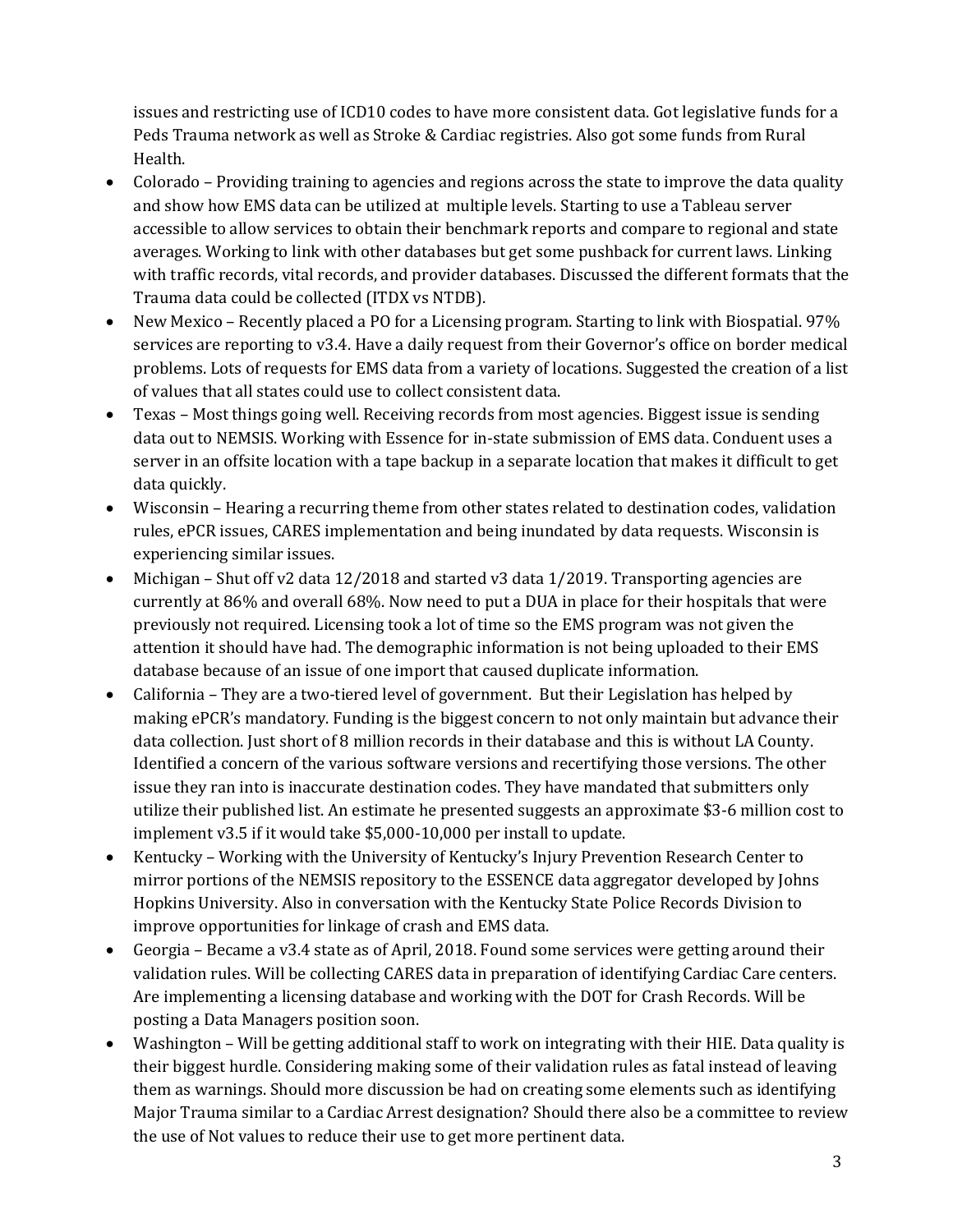issues and restricting use of ICD10 codes to have more consistent data. Got legislative funds for a Peds Trauma network as well as Stroke & Cardiac registries. Also got some funds from Rural Health.

- Colorado Providing training to agencies and regions across the state to improve the data quality and show how EMS data can be utilized at multiple levels. Starting to use a Tableau server accessible to allow services to obtain their benchmark reports and compare to regional and state averages. Working to link with other databases but get some pushback for current laws. Linking with traffic records, vital records, and provider databases. Discussed the different formats that the Trauma data could be collected (ITDX vs NTDB).
- New Mexico Recently placed a PO for a Licensing program. Starting to link with Biospatial. 97% services are reporting to v3.4. Have a daily request from their Governor's office on border medical problems. Lots of requests for EMS data from a variety of locations. Suggested the creation of a list of values that all states could use to collect consistent data.
- Texas Most things going well. Receiving records from most agencies. Biggest issue is sending data out to NEMSIS. Working with Essence for in-state submission of EMS data. Conduent uses a server in an offsite location with a tape backup in a separate location that makes it difficult to get data quickly.
- Wisconsin Hearing a recurring theme from other states related to destination codes, validation rules, ePCR issues, CARES implementation and being inundated by data requests. Wisconsin is experiencing similar issues.
- Michigan Shut off v2 data  $12/2018$  and started v3 data  $1/2019$ . Transporting agencies are currently at 86% and overall 68%. Now need to put a DUA in place for their hospitals that were previously not required. Licensing took a lot of time so the EMS program was not given the attention it should have had. The demographic information is not being uploaded to their EMS database because of an issue of one import that caused duplicate information.
- California They are a two-tiered level of government. But their Legislation has helped by making ePCR's mandatory. Funding is the biggest concern to not only maintain but advance their data collection. Just short of 8 million records in their database and this is without LA County. Identified a concern of the various software versions and recertifying those versions. The other issue they ran into is inaccurate destination codes. They have mandated that submitters only utilize their published list. An estimate he presented suggests an approximate \$3-6 million cost to implement  $v3.5$  if it would take \$5,000-10,000 per install to update.
- Kentucky Working with the University of Kentucky's Injury Prevention Research Center to mirror portions of the NEMSIS repository to the ESSENCE data aggregator developed by Johns Hopkins University. Also in conversation with the Kentucky State Police Records Division to improve opportunities for linkage of crash and EMS data.
- Georgia Became a v3.4 state as of April, 2018. Found some services were getting around their validation rules. Will be collecting CARES data in preparation of identifying Cardiac Care centers. Are implementing a licensing database and working with the DOT for Crash Records. Will be posting a Data Managers position soon.
- Washington Will be getting additional staff to work on integrating with their HIE. Data quality is their biggest hurdle. Considering making some of their validation rules as fatal instead of leaving them as warnings. Should more discussion be had on creating some elements such as identifying Major Trauma similar to a Cardiac Arrest designation? Should there also be a committee to review the use of Not values to reduce their use to get more pertinent data.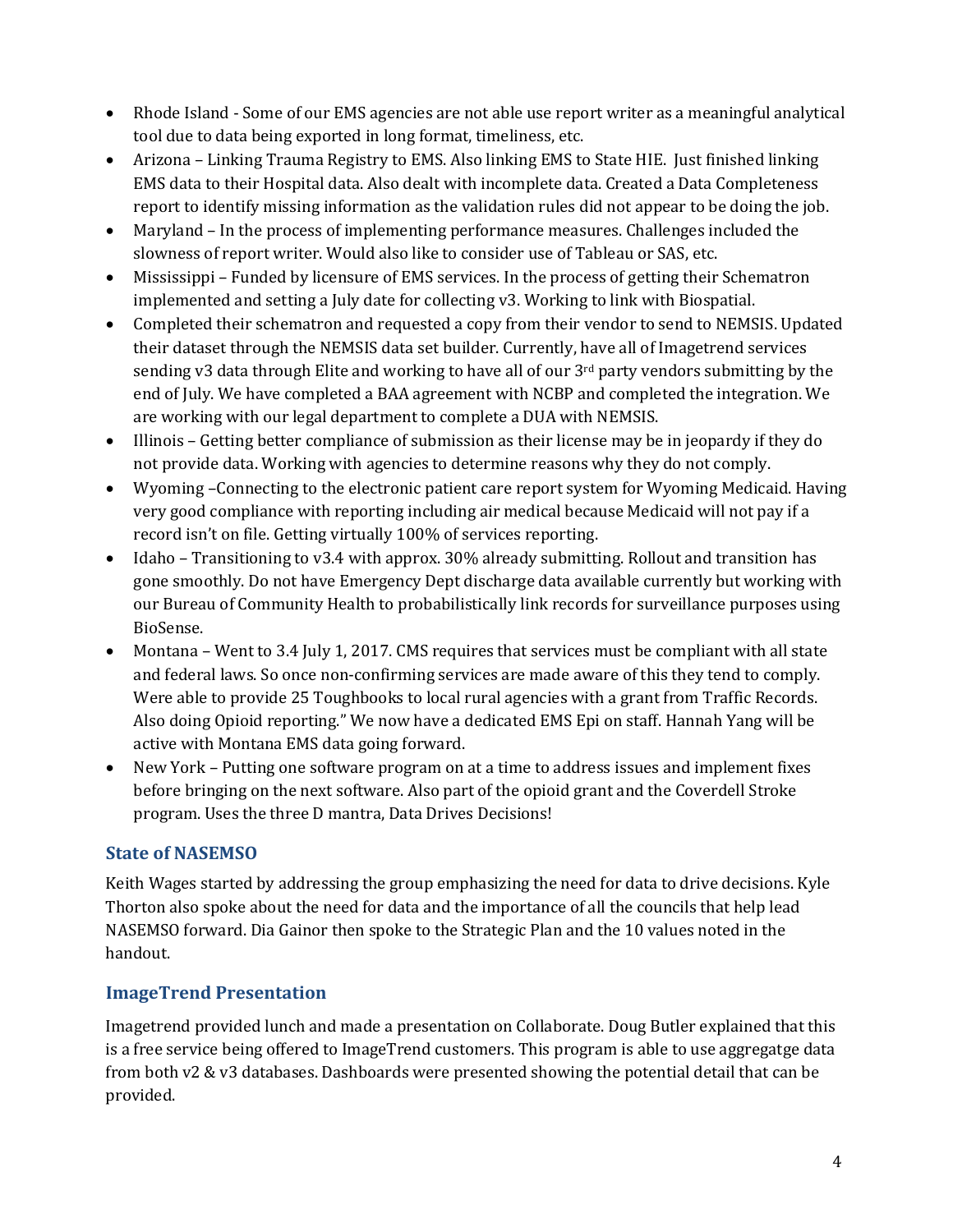- Rhode Island Some of our EMS agencies are not able use report writer as a meaningful analytical tool due to data being exported in long format, timeliness, etc.
- Arizona Linking Trauma Registry to EMS. Also linking EMS to State HIE. Just finished linking EMS data to their Hospital data. Also dealt with incomplete data. Created a Data Completeness report to identify missing information as the validation rules did not appear to be doing the job.
- Maryland In the process of implementing performance measures. Challenges included the slowness of report writer. Would also like to consider use of Tableau or SAS, etc.
- Mississippi Funded by licensure of EMS services. In the process of getting their Schematron implemented and setting a July date for collecting v3. Working to link with Biospatial.
- Completed their schematron and requested a copy from their vendor to send to NEMSIS. Updated their dataset through the NEMSIS data set builder. Currently, have all of Imagetrend services sending v3 data through Elite and working to have all of our  $3<sup>rd</sup>$  party vendors submitting by the end of July. We have completed a BAA agreement with NCBP and completed the integration. We are working with our legal department to complete a DUA with NEMSIS.
- Illinois Getting better compliance of submission as their license may be in jeopardy if they do not provide data. Working with agencies to determine reasons why they do not comply.
- Wyoming –Connecting to the electronic patient care report system for Wyoming Medicaid. Having very good compliance with reporting including air medical because Medicaid will not pay if a record isn't on file. Getting virtually 100% of services reporting.
- Idaho Transitioning to v3.4 with approx.  $30\%$  already submitting. Rollout and transition has gone smoothly. Do not have Emergency Dept discharge data available currently but working with our Bureau of Community Health to probabilistically link records for surveillance purposes using BioSense.
- Montana Went to 3.4 July 1, 2017. CMS requires that services must be compliant with all state and federal laws. So once non-confirming services are made aware of this they tend to comply. Were able to provide 25 Toughbooks to local rural agencies with a grant from Traffic Records. Also doing Opioid reporting." We now have a dedicated EMS Epi on staff. Hannah Yang will be active with Montana EMS data going forward.
- New York Putting one software program on at a time to address issues and implement fixes before bringing on the next software. Also part of the opioid grant and the Coverdell Stroke program. Uses the three D mantra, Data Drives Decisions!

## **State of NASEMSO**

Keith Wages started by addressing the group emphasizing the need for data to drive decisions. Kyle Thorton also spoke about the need for data and the importance of all the councils that help lead NASEMSO forward. Dia Gainor then spoke to the Strategic Plan and the 10 values noted in the handout.

## **ImageTrend Presentation**

Imagetrend provided lunch and made a presentation on Collaborate. Doug Butler explained that this is a free service being offered to ImageTrend customers. This program is able to use aggregatge data from both v2 & v3 databases. Dashboards were presented showing the potential detail that can be provided.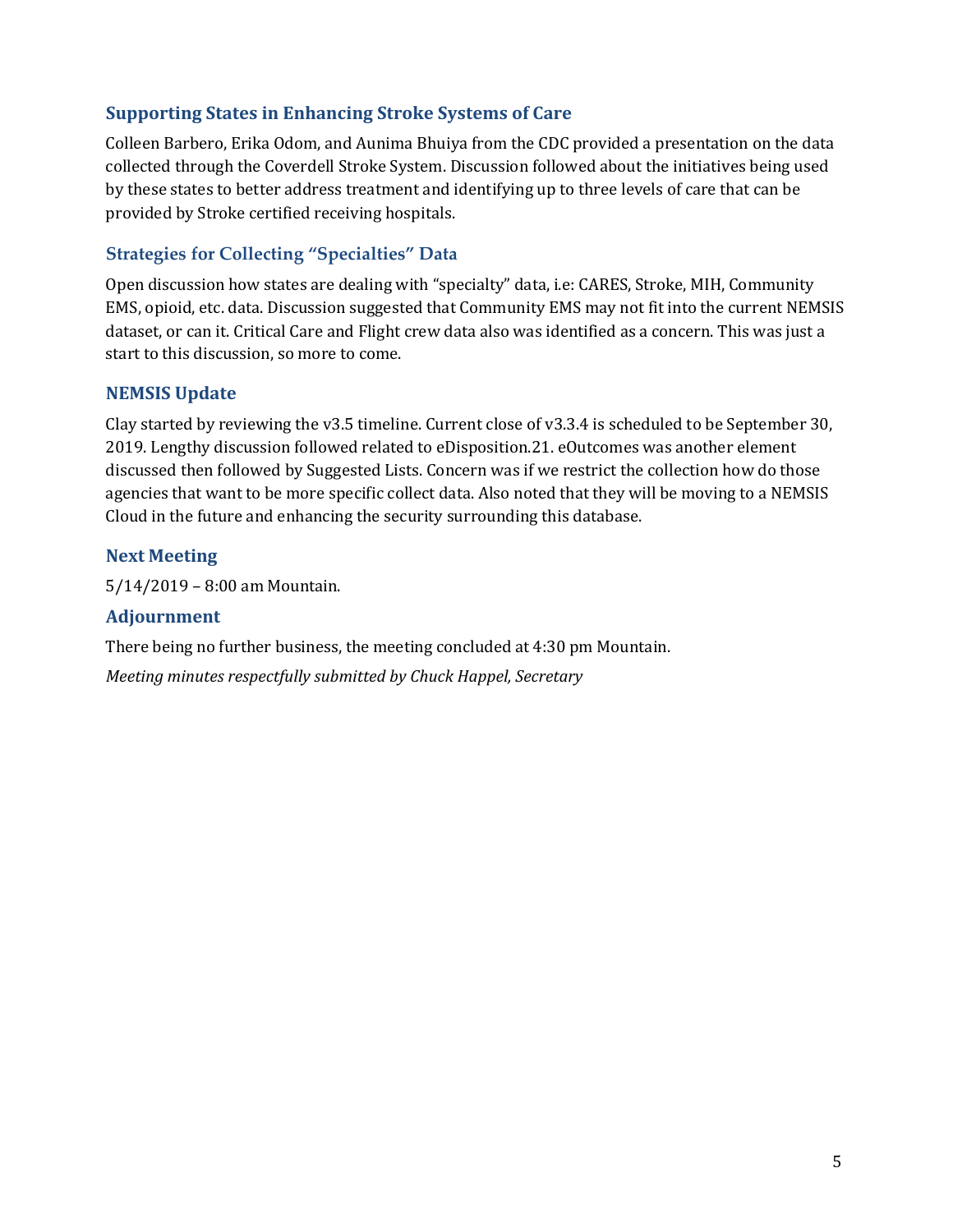## **Supporting States in Enhancing Stroke Systems of Care**

Colleen Barbero, Erika Odom, and Aunima Bhuiya from the CDC provided a presentation on the data collected through the Coverdell Stroke System. Discussion followed about the initiatives being used by these states to better address treatment and identifying up to three levels of care that can be provided by Stroke certified receiving hospitals.

## **Strategies for Collecting "Specialties" Data**

Open discussion how states are dealing with "specialty" data, i.e: CARES, Stroke, MIH, Community EMS, opioid, etc. data. Discussion suggested that Community EMS may not fit into the current NEMSIS dataset, or can it. Critical Care and Flight crew data also was identified as a concern. This was just a start to this discussion, so more to come.

#### **NEMSIS Update**

Clay started by reviewing the  $v3.5$  timeline. Current close of  $v3.3.4$  is scheduled to be September 30, 2019. Lengthy discussion followed related to eDisposition.21. eOutcomes was another element discussed then followed by Suggested Lists. Concern was if we restrict the collection how do those agencies that want to be more specific collect data. Also noted that they will be moving to a NEMSIS Cloud in the future and enhancing the security surrounding this database.

## **Next Meeting**

 $5/14/2019 - 8:00$  am Mountain.

#### **Adjournment**

There being no further business, the meeting concluded at 4:30 pm Mountain.

*Meeting minutes respectfully submitted by Chuck Happel, Secretary*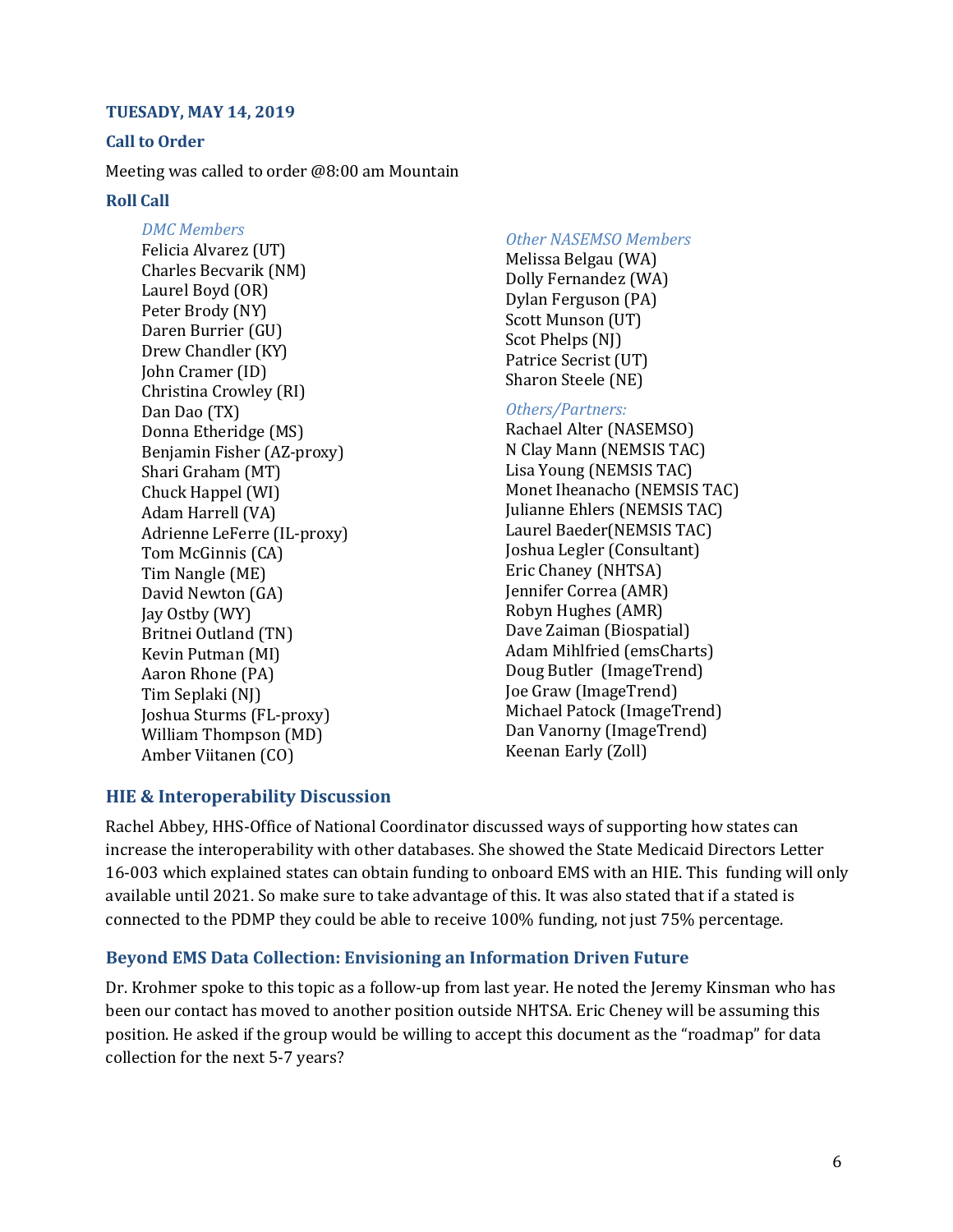#### **TUESADY, MAY 14, 2019**

#### **Call to Order**

Meeting was called to order @8:00 am Mountain

#### **Roll Call**

*DMC Members* Felicia Alvarez (UT) Charles Becvarik (NM) Laurel Boyd (OR) Peter Brody (NY) Daren Burrier (GU) Drew Chandler (KY) **John Cramer (ID)** Christina Crowley (RI) Dan Dao (TX) Donna Etheridge (MS) Benjamin Fisher (AZ-proxy) Shari Graham (MT) Chuck Happel (WI) Adam Harrell (VA) Adrienne LeFerre (IL-proxy) Tom McGinnis (CA) Tim Nangle (ME) David Newton (GA) Jay Ostby (WY) Britnei Outland (TN) Kevin Putman (MI) Aaron Rhone (PA) Tim Seplaki (NJ) Joshua Sturms (FL-proxy) William Thompson (MD) Amber Viitanen (CO)

#### *Other NASEMSO Members*

Melissa Belgau (WA) Dolly Fernandez (WA) Dylan Ferguson (PA) Scott Munson (UT) Scot Phelps (NJ) Patrice Secrist (UT) Sharon Steele (NE)

#### *Others/Partners:*

Rachael Alter (NASEMSO) N Clay Mann (NEMSIS TAC) Lisa Young (NEMSIS TAC) Monet Iheanacho (NEMSIS TAC) Julianne Ehlers (NEMSIS TAC) Laurel Baeder(NEMSIS TAC) **Joshua Legler (Consultant)** Eric Chaney (NHTSA) Jennifer Correa (AMR) Robyn Hughes (AMR) Dave Zaiman (Biospatial) Adam Mihlfried (emsCharts) Doug Butler (ImageTrend) Joe Graw (ImageTrend) Michael Patock (ImageTrend) Dan Vanorny (ImageTrend) Keenan Early (Zoll)

#### **HIE & Interoperability Discussion**

Rachel Abbey, HHS-Office of National Coordinator discussed ways of supporting how states can increase the interoperability with other databases. She showed the State Medicaid Directors Letter 16-003 which explained states can obtain funding to onboard EMS with an HIE. This funding will only available until 2021. So make sure to take advantage of this. It was also stated that if a stated is connected to the PDMP they could be able to receive 100% funding, not just 75% percentage.

#### **Beyond EMS Data Collection: Envisioning an Information Driven Future**

Dr. Krohmer spoke to this topic as a follow-up from last year. He noted the Jeremy Kinsman who has been our contact has moved to another position outside NHTSA. Eric Cheney will be assuming this position. He asked if the group would be willing to accept this document as the "roadmap" for data collection for the next 5-7 years?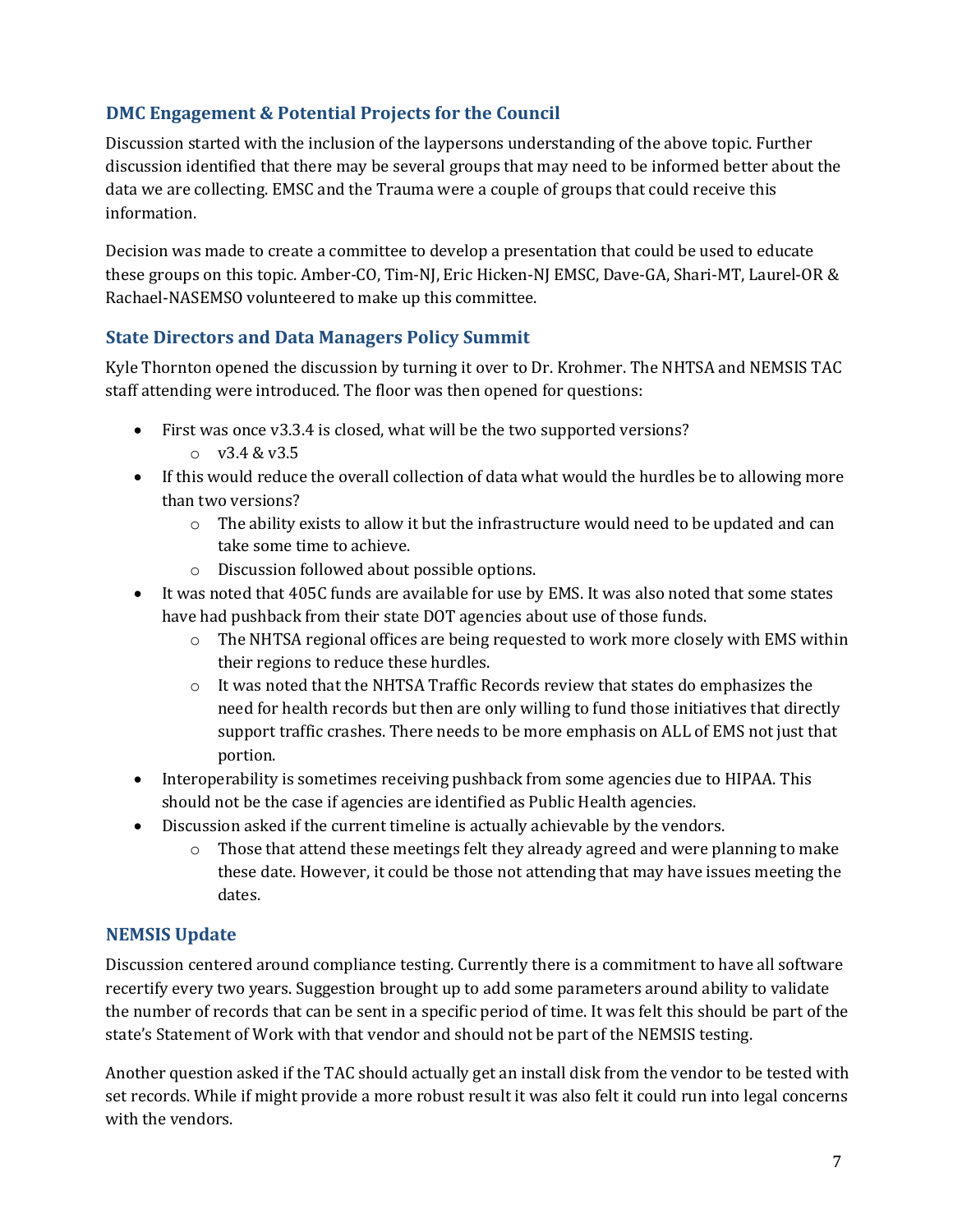## **DMC Engagement & Potential Projects for the Council**

Discussion started with the inclusion of the laypersons understanding of the above topic. Further discussion identified that there may be several groups that may need to be informed better about the data we are collecting. EMSC and the Trauma were a couple of groups that could receive this information.

Decision was made to create a committee to develop a presentation that could be used to educate these groups on this topic. Amber-CO, Tim-NJ, Eric Hicken-NJ EMSC, Dave-GA, Shari-MT, Laurel-OR & Rachael-NASEMSO volunteered to make up this committee.

## **State Directors and Data Managers Policy Summit**

Kyle Thornton opened the discussion by turning it over to Dr. Krohmer. The NHTSA and NEMSIS TAC staff attending were introduced. The floor was then opened for questions:

- First was once v3.3.4 is closed, what will be the two supported versions?
	- $\sim v3.4.8 v3.5$
- If this would reduce the overall collection of data what would the hurdles be to allowing more than two versions?
	- $\circ$  The ability exists to allow it but the infrastructure would need to be updated and can take some time to achieve.
	- $\circ$  Discussion followed about possible options.
- It was noted that 405C funds are available for use by EMS. It was also noted that some states have had pushback from their state DOT agencies about use of those funds.
	- $\circ$  The NHTSA regional offices are being requested to work more closely with EMS within their regions to reduce these hurdles.
	- o It was noted that the NHTSA Traffic Records review that states do emphasizes the need for health records but then are only willing to fund those initiatives that directly support traffic crashes. There needs to be more emphasis on ALL of EMS not just that portion.
- Interoperability is sometimes receiving pushback from some agencies due to HIPAA. This should not be the case if agencies are identified as Public Health agencies.
- Discussion asked if the current timeline is actually achievable by the vendors.
	- $\circ$  Those that attend these meetings felt they already agreed and were planning to make these date. However, it could be those not attending that may have issues meeting the dates.

## **NEMSIS Update**

Discussion centered around compliance testing. Currently there is a commitment to have all software recertify every two years. Suggestion brought up to add some parameters around ability to validate the number of records that can be sent in a specific period of time. It was felt this should be part of the state's Statement of Work with that vendor and should not be part of the NEMSIS testing.

Another question asked if the TAC should actually get an install disk from the vendor to be tested with set records. While if might provide a more robust result it was also felt it could run into legal concerns with the vendors.